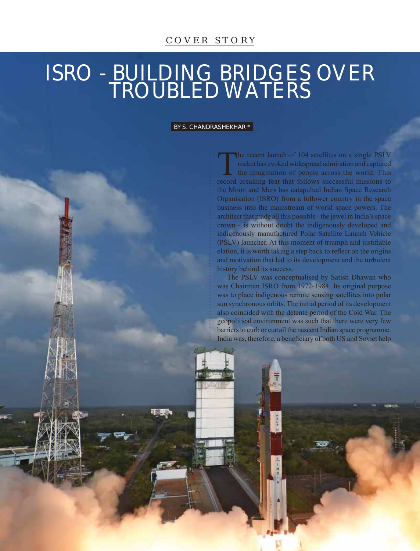## ISRO - BUILDING BRIDGES OVER TROUBLED WATERS

## BY S. CHANDRASHEKHAR \*

The recent launch of 104 satellites on a single PSLV<br>tocket has evoked widespread admiration and captured<br>the imagination of people across the world. This<br>record breaking feat that follows successful missions to rocket has evoked widespread admiration and captured record breaking feat that follows successful missions to the Moon and Mars has catapulted Indian Space Research Organisation (ISRO) from a follower country in the space business into the mainstream of world space powers. The architect that made all this possible - the jewel in India's space crown - is without doubt the indigenously developed and indigenously manufactured Polar Satellite Launch Vehicle (PSLV) launcher. At this moment of triumph and justifiable elation, it is worth taking a step back to reflect on the origins and motivation that led to its development and the turbulent history behind its success.

The PSLV was conceptualised by Satish Dhawan who was Chairman ISRO from 1972-1984. Its original purpose was to place indigenous remote sensing satellites into polar sun synchronous orbits. The initial period of its development also coincided with the détente period of the Cold War. The geopolitical environment was such that there were very few barriers to curb or curtail the nascent Indian space programme. India was, therefore, a beneficiary of both US and Soviet help

Extraordinary and Plenipotentiary Diplomatist • Vol 5 • Issue 4 • April 2017, Noida • 23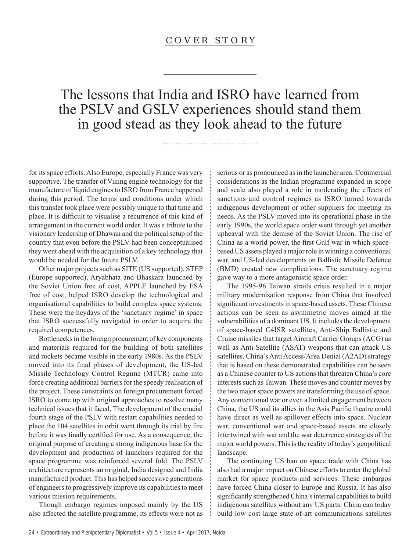The lessons that India and ISRO have learned from the PSLV and GSLV experiences should stand them in good stead as they look ahead to the future

for its space efforts. Also Europe, especially France was very supportive. The transfer of Viking engine technology for the manufacture of liquid engines to ISRO from France happened during this period. The terms and conditions under which this transfer took place were possibly unique to that time and place. It is difficult to visualise a recurrence of this kind of arrangement in the current world order. It was a tribute to the visionary leadership of Dhawan and the political setup of the country that even before the PSLV had been conceptualised they went ahead with the acquisition of a key technology that would be needed for the future PSLV.

Other major projects such as SITE (US supported), STEP (Europe supported), Aryabhata and Bhaskara launched by the Soviet Union free of cost, APPLE launched by ESA free of cost, helped ISRO develop the technological and organisational capabilities to build complex space systems. These were the heydays of the 'sanctuary regime' in space that ISRO successfully navigated in order to acquire the required competences.

Bottlenecks in the foreign procurement of key components and materials required for the building of both satellites and rockets became visible in the early 1980s. As the PSLV moved into its final phases of development, the US-led Missile Technology Control Regime (MTCR) came into force creating additional barriers for the speedy realisation of the project. These constraints on foreign procurement forced ISRO to come up with original approaches to resolve many technical issues that it faced. The development of the crucial fourth stage of the PSLV with restart capabilities needed to place the 104 satellites in orbit went through its trial by fire before it was finally certified for use. As a consequence, the original purpose of creating a strong indigenous base for the development and production of launchers required for the space programme was reinforced several fold. The PSLV architecture represents an original, India designed and India manufactured product. This has helped successive generations of engineers to progressively improve its capabilities to meet various mission requirements.

Though embargo regimes imposed mainly by the US also affected the satellite programme, its effects were not as serious or as pronounced as in the launcher area. Commercial considerations as the Indian programme expanded in scope and scale also played a role in moderating the effects of sanctions and control regimes as ISRO turned towards indigenous development or other suppliers for meeting its needs. As the PSLV moved into its operational phase in the early 1990s, the world space order went through yet another upheaval with the demise of the Soviet Union. The rise of China as a world power, the first Gulf war in which spacebased US assets played a major role in winning a conventional war, and US-led developments on Ballistic Missile Defence (BMD) created new complications. The sanctuary regime gave way to a more antagonistic space order.

The 1995-96 Taiwan straits crisis resulted in a major military modernisation response from China that involved significant investments in space-based assets. These Chinese actions can be seen as asymmetric moves aimed at the vulnerabilities of a dominant US. It includes the development of space-based C4ISR satellites, Anti-Ship Ballistic and Cruise missiles that target Aircraft Carrier Groups (ACG) as well as Anti-Satellite (ASAT) weapons that can attack US satellites. China's Anti Access/Area Denial (A2AD) strategy that is based on these demonstrated capabilities can be seen as a Chinese counter to US actions that threaten China's core interests such as Taiwan. These moves and counter moves by the two major space powers are transforming the use of space. Any conventional war or even a limited engagement between China, the US and its allies in the Asia Pacific theatre could have direct as well as spillover effects into space. Nuclear war, conventional war and space-based assets are closely intertwined with war and the war deterrence strategies of the major world powers. This is the reality of today's geopolitical landscape.

The continuing US ban on space trade with China has also had a major impact on Chinese efforts to enter the global market for space products and services. These embargos have forced China closer to Europe and Russia. It has also significantly strengthened China's internal capabilities to build indigenous satellites without any US parts. China can today build low cost large state-of-art communications satellites